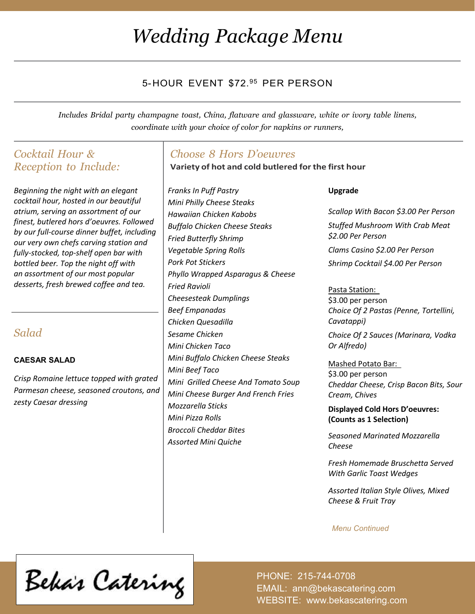# *Wedding Package Menu*

## 5-HOUR EVENT \$72.<sup>95</sup> PER PERSON

*Includes Bridal party champagne toast, China, flatware and glassware, white or ivory table linens, coordinate with your choice of color for napkins or runners,*

## *Cocktail Hour & Reception to Include:*

*Beginning the night with an elegant cocktail hour, hosted in our beautiful atrium, serving an assortment of our finest, butlered hors d'oeuvres. Followed by our full-course dinner buffet, including our very own chefs carving station and fully-stocked, top-shelf open bar with bottled beer. Top the night off with an assortment of our most popular desserts, fresh brewed coffee and tea.*

## *Salad*

#### **CAESAR SALAD**

*Crisp Romaine lettuce topped with grated Parmesan cheese, seasoned croutons, and zesty Caesar dressing*

### *Choose 8 Hors D'oeuvres*

**Variety of hot and cold butlered for the first hour**

*Franks In Puff Pastry Mini Philly Cheese Steaks Hawaiian Chicken Kabobs Buffalo Chicken Cheese Steaks Fried Butterfly Shrimp Vegetable Spring Rolls Pork Pot Stickers Phyllo Wrapped Asparagus & Cheese Fried Ravioli Cheesesteak Dumplings Beef Empanadas Chicken Quesadilla Sesame Chicken Mini Chicken Taco Mini Buffalo Chicken Cheese Steaks Mini Beef Taco Mini Grilled Cheese And Tomato Soup Mini Cheese Burger And French Fries Mozzarella Sticks Mini Pizza Rolls Broccoli Cheddar Bites Assorted Mini Quiche*

**Upgrade**

*Scallop With Bacon \$3.00 Per Person Stuffed Mushroom With Crab Meat \$2.00 Per Person Clams Casino \$2.00 Per Person*

*Shrimp Cocktail \$4.00 Per Person*

#### Pasta Station:

\$3.00 per person *Choice Of 2 Pastas (Penne, Tortellini, Cavatappi)* 

*Choice Of 2 Sauces (Marinara, Vodka Or Alfredo)* 

Mashed Potato Bar: \$3.00 per person *Cheddar Cheese, Crisp Bacon Bits, Sour Cream, Chives* 

**Displayed Cold Hors D'oeuvres: (Counts as 1 Selection)**

*Seasoned Marinated Mozzarella Cheese*

*Fresh Homemade Bruschetta Served With Garlic Toast Wedges*

*Assorted Italian Style Olives, Mixed Cheese & Fruit Tray*

 *Menu Continued*

Beka's Catering

PHONE: 215-744-0708 EMAIL: ann@bekascatering.com WEBSITE: www.bekascatering.com